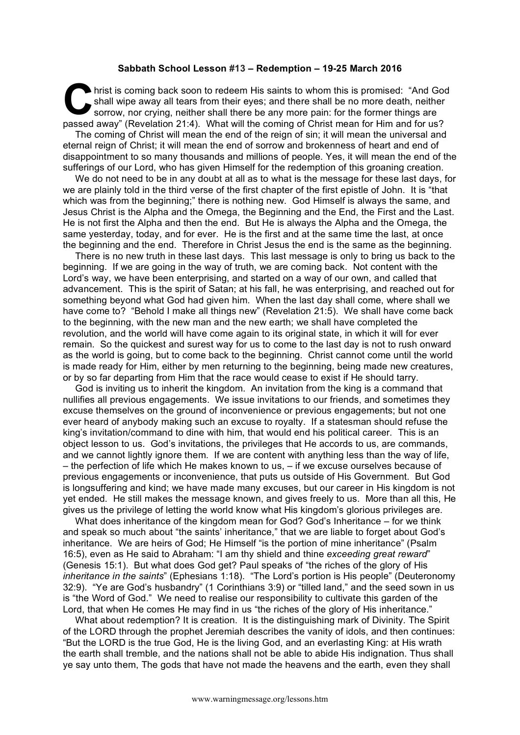## **Sabbath School Lesson #13 – Redemption – 19-25 March 2016**

hrist is coming back soon to redeem His saints to whom this is promised: "And God shall wipe away all tears from their eyes; and there shall be no more death, neither sorrow, nor crying, neither shall there be any more pain: for the former things are hrist is coming back soon to redeem His saints to whom this is promised: "And Go shall wipe away all tears from their eyes; and there shall be no more death, neither sorrow, nor crying, neither shall there be any more pain

The coming of Christ will mean the end of the reign of sin; it will mean the universal and eternal reign of Christ; it will mean the end of sorrow and brokenness of heart and end of disappointment to so many thousands and millions of people. Yes, it will mean the end of the sufferings of our Lord, who has given Himself for the redemption of this groaning creation.

We do not need to be in any doubt at all as to what is the message for these last days, for we are plainly told in the third verse of the first chapter of the first epistle of John. It is "that which was from the beginning;" there is nothing new. God Himself is always the same, and Jesus Christ is the Alpha and the Omega, the Beginning and the End, the First and the Last. He is not first the Alpha and then the end. But He is always the Alpha and the Omega, the same yesterday, today, and for ever. He is the first and at the same time the last, at once the beginning and the end. Therefore in Christ Jesus the end is the same as the beginning.

There is no new truth in these last days. This last message is only to bring us back to the beginning. If we are going in the way of truth, we are coming back. Not content with the Lord's way, we have been enterprising, and started on a way of our own, and called that advancement. This is the spirit of Satan; at his fall, he was enterprising, and reached out for something beyond what God had given him. When the last day shall come, where shall we have come to? "Behold I make all things new" (Revelation 21:5). We shall have come back to the beginning, with the new man and the new earth; we shall have completed the revolution, and the world will have come again to its original state, in which it will for ever remain. So the quickest and surest way for us to come to the last day is not to rush onward as the world is going, but to come back to the beginning. Christ cannot come until the world is made ready for Him, either by men returning to the beginning, being made new creatures, or by so far departing from Him that the race would cease to exist if He should tarry.

God is inviting us to inherit the kingdom. An invitation from the king is a command that nullifies all previous engagements. We issue invitations to our friends, and sometimes they excuse themselves on the ground of inconvenience or previous engagements; but not one ever heard of anybody making such an excuse to royalty. If a statesman should refuse the king's invitation/command to dine with him, that would end his political career. This is an object lesson to us. God's invitations, the privileges that He accords to us, are commands, and we cannot lightly ignore them. If we are content with anything less than the way of life, – the perfection of life which He makes known to us, – if we excuse ourselves because of previous engagements or inconvenience, that puts us outside of His Government. But God is longsuffering and kind; we have made many excuses, but our career in His kingdom is not yet ended. He still makes the message known, and gives freely to us. More than all this, He gives us the privilege of letting the world know what His kingdom's glorious privileges are.

What does inheritance of the kingdom mean for God? God's Inheritance – for we think and speak so much about "the saints' inheritance," that we are liable to forget about God's inheritance. We are heirs of God; He Himself "is the portion of mine inheritance" (Psalm 16:5), even as He said to Abraham: "I am thy shield and thine *exceeding great reward*" (Genesis 15:1). But what does God get? Paul speaks of "the riches of the glory of His *inheritance in the saints*" (Ephesians 1:18). "The Lord's portion is His people" (Deuteronomy 32:9). "Ye are God's husbandry" (1 Corinthians 3:9) or "tilled land," and the seed sown in us is "the Word of God." We need to realise our responsibility to cultivate this garden of the Lord, that when He comes He may find in us "the riches of the glory of His inheritance."

What about redemption? It is creation. It is the distinguishing mark of Divinity. The Spirit of the LORD through the prophet Jeremiah describes the vanity of idols, and then continues: "But the LORD is the true God, He is the living God, and an everlasting King: at His wrath the earth shall tremble, and the nations shall not be able to abide His indignation. Thus shall ye say unto them, The gods that have not made the heavens and the earth, even they shall